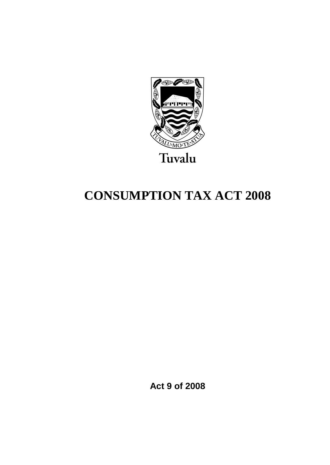

# **CONSUMPTION TAX ACT 2008**

**Act 9 of 2008**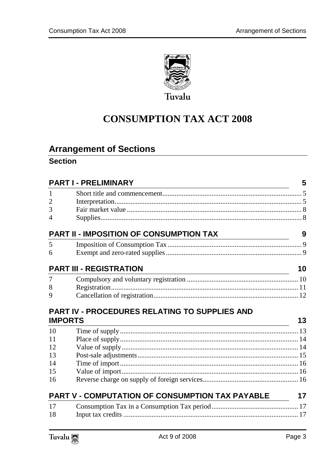

# **CONSUMPTION TAX ACT 2008**

# **Arrangement of Sections**

### **Section**

| <b>PART I - PRELIMINARY</b> |                                                                                                                       | 5  |
|-----------------------------|-----------------------------------------------------------------------------------------------------------------------|----|
| $\mathbf{1}$                |                                                                                                                       |    |
| $\overline{2}$              |                                                                                                                       |    |
| 3                           |                                                                                                                       |    |
| 4                           |                                                                                                                       |    |
|                             | <b>PART II - IMPOSITION OF CONSUMPTION TAX</b><br><u> 1989 - Johann Barbara, martxa alemaniar a</u>                   | 9  |
| 5                           |                                                                                                                       |    |
| 6                           |                                                                                                                       |    |
|                             | <b>PART III - REGISTRATION</b>                                                                                        | 10 |
| $\overline{7}$              |                                                                                                                       |    |
| 8                           |                                                                                                                       |    |
| 9                           |                                                                                                                       |    |
|                             | PART IV - PROCEDURES RELATING TO SUPPLIES AND                                                                         |    |
|                             | <b>IMPORTS</b>                                                                                                        |    |
| 10                          |                                                                                                                       | 13 |
| 11                          | <u> 1980 - Andrea Barbara, amerikana amerikana amerikana amerikana amerikana amerikana amerikana amerikana amerik</u> |    |
|                             |                                                                                                                       |    |
| 12                          |                                                                                                                       |    |
| 13                          |                                                                                                                       |    |
| 14                          |                                                                                                                       |    |
| 15                          |                                                                                                                       |    |
| 16                          |                                                                                                                       |    |
|                             | PART V - COMPUTATION OF CONSUMPTION TAX PAYABLE                                                                       | 17 |
| 17                          |                                                                                                                       |    |

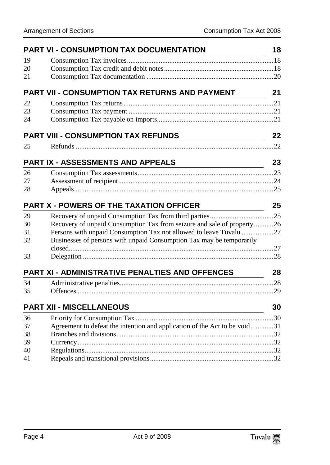| <b>PART VI - CONSUMPTION TAX DOCUMENTATION</b> |                                                                                                                                                         | 18 |
|------------------------------------------------|---------------------------------------------------------------------------------------------------------------------------------------------------------|----|
| 19                                             |                                                                                                                                                         |    |
| 20                                             |                                                                                                                                                         |    |
| 21                                             |                                                                                                                                                         |    |
|                                                | PART VII - CONSUMPTION TAX RETURNS AND PAYMENT                                                                                                          | 21 |
| 22                                             |                                                                                                                                                         |    |
| 23                                             |                                                                                                                                                         |    |
| 24                                             |                                                                                                                                                         |    |
|                                                | <b>PART VIII - CONSUMPTION TAX REFUNDS</b>                                                                                                              | 22 |
| 25                                             |                                                                                                                                                         |    |
|                                                | <b>PART IX - ASSESSMENTS AND APPEALS</b>                                                                                                                | 23 |
| 26                                             |                                                                                                                                                         |    |
| 27                                             |                                                                                                                                                         |    |
| 28                                             |                                                                                                                                                         |    |
|                                                | <b>PART X - POWERS OF THE TAXATION OFFICER</b>                                                                                                          | 25 |
| 29                                             |                                                                                                                                                         |    |
| 30                                             | Recovery of unpaid Consumption Tax from seizure and sale of property26                                                                                  |    |
| 31                                             | Persons with unpaid Consumption Tax not allowed to leave Tuvalu 27                                                                                      |    |
| 32                                             | Businesses of persons with unpaid Consumption Tax may be temporarily                                                                                    |    |
|                                                |                                                                                                                                                         |    |
| 33                                             |                                                                                                                                                         |    |
|                                                | <b>PART XI - ADMINISTRATIVE PENALTIES AND OFFENCES</b>                                                                                                  | 28 |
| 34                                             |                                                                                                                                                         |    |
| 35                                             |                                                                                                                                                         |    |
|                                                | <b>PART XII - MISCELLANEOUS</b><br><u> 1980 - Johann Barn, mars ann an t-Amhain Aonaich an t-Aonaich an t-Aonaich ann an t-Aonaich ann an t-Aonaich</u> | 30 |
| 36                                             |                                                                                                                                                         |    |
| 37                                             | Agreement to defeat the intention and application of the Act to be void31                                                                               |    |
| 38                                             |                                                                                                                                                         |    |
| 39                                             |                                                                                                                                                         |    |
| 40                                             |                                                                                                                                                         |    |
| 41                                             |                                                                                                                                                         |    |
|                                                |                                                                                                                                                         |    |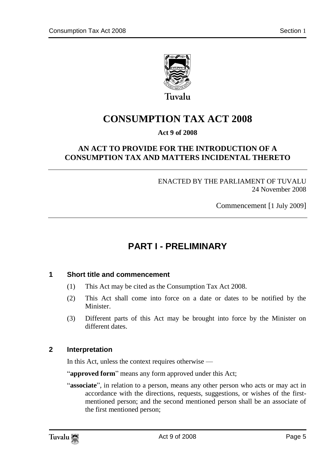

**CONSUMPTION TAX ACT 2008**

### **Act 9 of 2008**

### **AN ACT TO PROVIDE FOR THE INTRODUCTION OF A CONSUMPTION TAX AND MATTERS INCIDENTAL THERETO**

ENACTED BY THE PARLIAMENT OF TUVALU 24 November 2008

Commencement [1 July 2009]

# **PART I - PRELIMINARY**

#### <span id="page-4-1"></span><span id="page-4-0"></span>**1 Short title and commencement**

- (1) This Act may be cited as the Consumption Tax Act 2008.
- (2) This Act shall come into force on a date or dates to be notified by the Minister.
- (3) Different parts of this Act may be brought into force by the Minister on different dates.

#### <span id="page-4-2"></span>**2 Interpretation**

In this Act, unless the context requires otherwise —

"approved form" means any form approved under this Act;

"**associate**", in relation to a person, means any other person who acts or may act in accordance with the directions, requests, suggestions, or wishes of the firstmentioned person; and the second mentioned person shall be an associate of the first mentioned person;

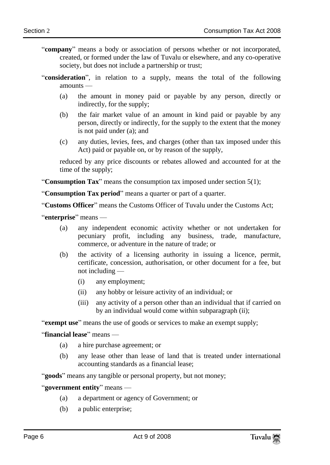- "company" means a body or association of persons whether or not incorporated, created, or formed under the law of Tuvalu or elsewhere, and any co-operative society, but does not include a partnership or trust;
- "consideration", in relation to a supply, means the total of the following amounts —
	- (a) the amount in money paid or payable by any person, directly or indirectly, for the supply;
	- (b) the fair market value of an amount in kind paid or payable by any person, directly or indirectly, for the supply to the extent that the money is not paid under (a); and
	- (c) any duties, levies, fees, and charges (other than tax imposed under this Act) paid or payable on, or by reason of the supply,

reduced by any price discounts or rebates allowed and accounted for at the time of the supply;

"**Consumption Tax**" means the consumption tax imposed under section  $5(1)$ ;

―**Consumption Tax period**‖ means a quarter or part of a quarter.

"Customs Officer" means the Customs Officer of Tuvalu under the Customs Act;

―**enterprise**‖ means —

- (a) any independent economic activity whether or not undertaken for pecuniary profit, including any business, trade, manufacture, commerce, or adventure in the nature of trade; or
- (b) the activity of a licensing authority in issuing a licence, permit, certificate, concession, authorisation, or other document for a fee, but not including —
	- (i) any employment;
	- (ii) any hobby or leisure activity of an individual; or
	- (iii) any activity of a person other than an individual that if carried on by an individual would come within subparagraph (ii);

"exempt use" means the use of goods or services to make an exempt supply;

―**financial lease**‖ means —

- (a) a hire purchase agreement; or
- (b) any lease other than lease of land that is treated under international accounting standards as a financial lease;

"goods" means any tangible or personal property, but not money;

―**government entity**‖ means —

- (a) a department or agency of Government; or
- (b) a public enterprise;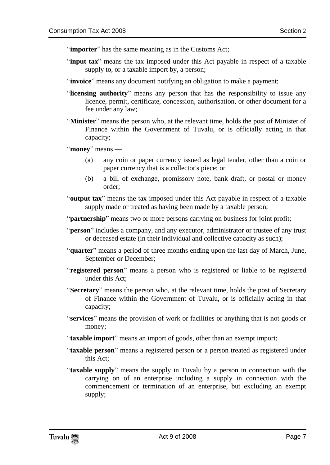"**importer**" has the same meaning as in the Customs Act;

- **input tax** means the tax imposed under this Act payable in respect of a taxable supply to, or a taxable import by, a person;
- "**invoice**" means any document notifying an obligation to make a payment;
- "licensing authority" means any person that has the responsibility to issue any licence, permit, certificate, concession, authorisation, or other document for a fee under any law;
- "**Minister**" means the person who, at the relevant time, holds the post of Minister of Finance within the Government of Tuvalu, or is officially acting in that capacity;

"money" means —

- (a) any coin or paper currency issued as legal tender, other than a coin or paper currency that is a collector's piece; or
- (b) a bill of exchange, promissory note, bank draft, or postal or money order;
- "**output tax**" means the tax imposed under this Act payable in respect of a taxable supply made or treated as having been made by a taxable person;
- "**partnership**" means two or more persons carrying on business for joint profit;
- "**person**" includes a company, and any executor, administrator or trustee of any trust or deceased estate (in their individual and collective capacity as such);
- "**quarter**" means a period of three months ending upon the last day of March, June, September or December;
- ―**registered person**‖ means a person who is registered or liable to be registered under this Act;
- **Secretary** means the person who, at the relevant time, holds the post of Secretary of Finance within the Government of Tuvalu, or is officially acting in that capacity;
- "services" means the provision of work or facilities or anything that is not goods or money;
- "taxable import" means an import of goods, other than an exempt import;
- "taxable person" means a registered person or a person treated as registered under this Act;
- "taxable supply" means the supply in Tuvalu by a person in connection with the carrying on of an enterprise including a supply in connection with the commencement or termination of an enterprise, but excluding an exempt supply;

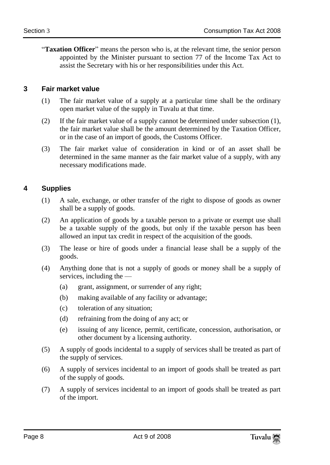**Taxation Officer**" means the person who is, at the relevant time, the senior person appointed by the Minister pursuant to section 77 of the Income Tax Act to assist the Secretary with his or her responsibilities under this Act.

#### <span id="page-7-0"></span>**3 Fair market value**

- (1) The fair market value of a supply at a particular time shall be the ordinary open market value of the supply in Tuvalu at that time.
- (2) If the fair market value of a supply cannot be determined under subsection (1), the fair market value shall be the amount determined by the Taxation Officer, or in the case of an import of goods, the Customs Officer.
- (3) The fair market value of consideration in kind or of an asset shall be determined in the same manner as the fair market value of a supply, with any necessary modifications made.

### <span id="page-7-1"></span>**4 Supplies**

- (1) A sale, exchange, or other transfer of the right to dispose of goods as owner shall be a supply of goods.
- (2) An application of goods by a taxable person to a private or exempt use shall be a taxable supply of the goods, but only if the taxable person has been allowed an input tax credit in respect of the acquisition of the goods.
- (3) The lease or hire of goods under a financial lease shall be a supply of the goods.
- (4) Anything done that is not a supply of goods or money shall be a supply of services, including the —
	- (a) grant, assignment, or surrender of any right;
	- (b) making available of any facility or advantage;
	- (c) toleration of any situation;
	- (d) refraining from the doing of any act; or
	- (e) issuing of any licence, permit, certificate, concession, authorisation, or other document by a licensing authority.
- (5) A supply of goods incidental to a supply of services shall be treated as part of the supply of services.
- (6) A supply of services incidental to an import of goods shall be treated as part of the supply of goods.
- (7) A supply of services incidental to an import of goods shall be treated as part of the import.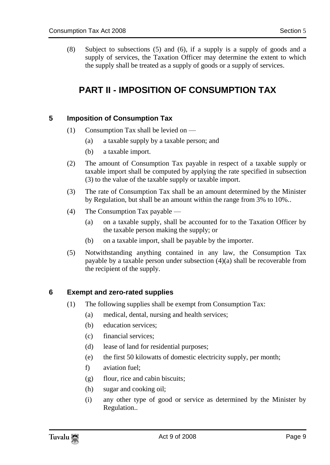<span id="page-8-0"></span>(8) Subject to subsections (5) and (6), if a supply is a supply of goods and a supply of services, the Taxation Officer may determine the extent to which the supply shall be treated as a supply of goods or a supply of services.

# **PART II - IMPOSITION OF CONSUMPTION TAX**

#### <span id="page-8-1"></span>**5 Imposition of Consumption Tax**

- (1) Consumption Tax shall be levied on
	- (a) a taxable supply by a taxable person; and
	- (b) a taxable import.
- (2) The amount of Consumption Tax payable in respect of a taxable supply or taxable import shall be computed by applying the rate specified in subsection (3) to the value of the taxable supply or taxable import.
- (3) The rate of Consumption Tax shall be an amount determined by the Minister by Regulation, but shall be an amount within the range from 3% to 10%..
- (4) The Consumption Tax payable
	- (a) on a taxable supply, shall be accounted for to the Taxation Officer by the taxable person making the supply; or
	- (b) on a taxable import, shall be payable by the importer.
- (5) Notwithstanding anything contained in any law, the Consumption Tax payable by a taxable person under subsection (4)(a) shall be recoverable from the recipient of the supply.

#### <span id="page-8-2"></span>**6 Exempt and zero-rated supplies**

- (1) The following supplies shall be exempt from Consumption Tax:
	- (a) medical, dental, nursing and health services;
	- (b) education services;
	- (c) financial services;
	- (d) lease of land for residential purposes;
	- (e) the first 50 kilowatts of domestic electricity supply, per month;
	- f) aviation fuel;
	- (g) flour, rice and cabin biscuits;
	- (h) sugar and cooking oil;
	- (i) any other type of good or service as determined by the Minister by Regulation..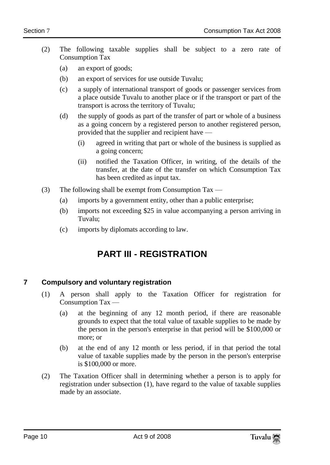- (2) The following taxable supplies shall be subject to a zero rate of Consumption Tax
	- (a) an export of goods;
	- (b) an export of services for use outside Tuvalu;
	- (c) a supply of international transport of goods or passenger services from a place outside Tuvalu to another place or if the transport or part of the transport is across the territory of Tuvalu;
	- (d) the supply of goods as part of the transfer of part or whole of a business as a going concern by a registered person to another registered person, provided that the supplier and recipient have —
		- (i) agreed in writing that part or whole of the business is supplied as a going concern;
		- (ii) notified the Taxation Officer, in writing, of the details of the transfer, at the date of the transfer on which Consumption Tax has been credited as input tax.
- (3) The following shall be exempt from Consumption  $\text{Tax}$ 
	- (a) imports by a government entity, other than a public enterprise;
	- (b) imports not exceeding \$25 in value accompanying a person arriving in Tuvalu;
	- (c) imports by diplomats according to law.

### **PART III - REGISTRATION**

#### <span id="page-9-1"></span><span id="page-9-0"></span>**7 Compulsory and voluntary registration**

- (1) A person shall apply to the Taxation Officer for registration for Consumption Tax —
	- (a) at the beginning of any 12 month period, if there are reasonable grounds to expect that the total value of taxable supplies to be made by the person in the person's enterprise in that period will be \$100,000 or more; or
	- (b) at the end of any 12 month or less period, if in that period the total value of taxable supplies made by the person in the person's enterprise is \$100,000 or more.
- (2) The Taxation Officer shall in determining whether a person is to apply for registration under subsection (1), have regard to the value of taxable supplies made by an associate.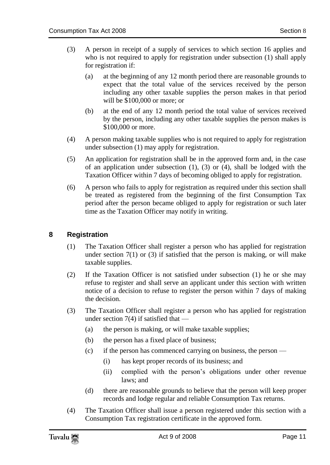- (3) A person in receipt of a supply of services to which section 16 applies and who is not required to apply for registration under subsection (1) shall apply for registration if:
	- (a) at the beginning of any 12 month period there are reasonable grounds to expect that the total value of the services received by the person including any other taxable supplies the person makes in that period will be \$100,000 or more; or
	- (b) at the end of any 12 month period the total value of services received by the person, including any other taxable supplies the person makes is \$100,000 or more.
- (4) A person making taxable supplies who is not required to apply for registration under subsection (1) may apply for registration.
- (5) An application for registration shall be in the approved form and, in the case of an application under subsection (1), (3) or (4), shall be lodged with the Taxation Officer within 7 days of becoming obliged to apply for registration.
- (6) A person who fails to apply for registration as required under this section shall be treated as registered from the beginning of the first Consumption Tax period after the person became obliged to apply for registration or such later time as the Taxation Officer may notify in writing.

#### <span id="page-10-0"></span>**8 Registration**

- (1) The Taxation Officer shall register a person who has applied for registration under section  $7(1)$  or  $(3)$  if satisfied that the person is making, or will make taxable supplies.
- (2) If the Taxation Officer is not satisfied under subsection (1) he or she may refuse to register and shall serve an applicant under this section with written notice of a decision to refuse to register the person within 7 days of making the decision.
- (3) The Taxation Officer shall register a person who has applied for registration under section  $7(4)$  if satisfied that —
	- (a) the person is making, or will make taxable supplies;
	- (b) the person has a fixed place of business;
	- (c) if the person has commenced carrying on business, the person
		- (i) has kept proper records of its business; and
		- (ii) complied with the person's obligations under other revenue laws; and
	- (d) there are reasonable grounds to believe that the person will keep proper records and lodge regular and reliable Consumption Tax returns.
- (4) The Taxation Officer shall issue a person registered under this section with a Consumption Tax registration certificate in the approved form.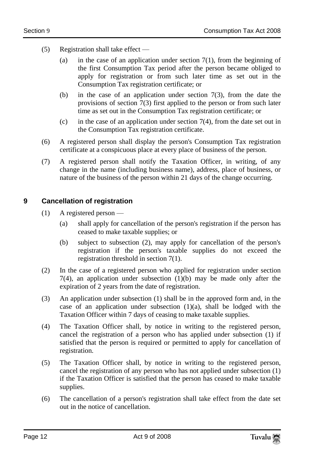- (5) Registration shall take effect
	- (a) in the case of an application under section  $7(1)$ , from the beginning of the first Consumption Tax period after the person became obliged to apply for registration or from such later time as set out in the Consumption Tax registration certificate; or
	- (b) in the case of an application under section 7(3), from the date the provisions of section 7(3) first applied to the person or from such later time as set out in the Consumption Tax registration certificate; or
	- (c) in the case of an application under section  $7(4)$ , from the date set out in the Consumption Tax registration certificate.
- (6) A registered person shall display the person's Consumption Tax registration certificate at a conspicuous place at every place of business of the person.
- (7) A registered person shall notify the Taxation Officer, in writing, of any change in the name (including business name), address, place of business, or nature of the business of the person within 21 days of the change occurring.

### <span id="page-11-0"></span>**9 Cancellation of registration**

- (1) A registered person
	- (a) shall apply for cancellation of the person's registration if the person has ceased to make taxable supplies; or
	- (b) subject to subsection (2), may apply for cancellation of the person's registration if the person's taxable supplies do not exceed the registration threshold in section 7(1).
- (2) In the case of a registered person who applied for registration under section 7(4), an application under subsection (1)(b) may be made only after the expiration of 2 years from the date of registration.
- (3) An application under subsection (1) shall be in the approved form and, in the case of an application under subsection  $(1)(a)$ , shall be lodged with the Taxation Officer within 7 days of ceasing to make taxable supplies.
- (4) The Taxation Officer shall, by notice in writing to the registered person, cancel the registration of a person who has applied under subsection (1) if satisfied that the person is required or permitted to apply for cancellation of registration.
- (5) The Taxation Officer shall, by notice in writing to the registered person, cancel the registration of any person who has not applied under subsection (1) if the Taxation Officer is satisfied that the person has ceased to make taxable supplies.
- (6) The cancellation of a person's registration shall take effect from the date set out in the notice of cancellation.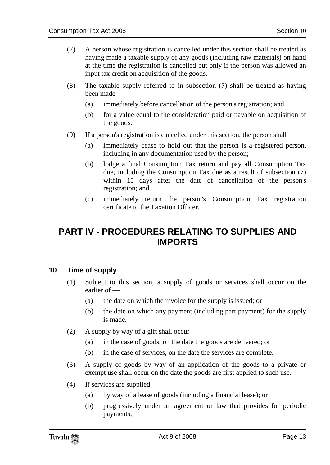- (7) A person whose registration is cancelled under this section shall be treated as having made a taxable supply of any goods (including raw materials) on hand at the time the registration is cancelled but only if the person was allowed an input tax credit on acquisition of the goods.
- (8) The taxable supply referred to in subsection (7) shall be treated as having been made —
	- (a) immediately before cancellation of the person's registration; and
	- (b) for a value equal to the consideration paid or payable on acquisition of the goods.
- (9) If a person's registration is cancelled under this section, the person shall
	- (a) immediately cease to hold out that the person is a registered person, including in any documentation used by the person;
	- (b) lodge a final Consumption Tax return and pay all Consumption Tax due, including the Consumption Tax due as a result of subsection (7) within 15 days after the date of cancellation of the person's registration; and
	- (c) immediately return the person's Consumption Tax registration certificate to the Taxation Officer.

### <span id="page-12-0"></span>**PART IV - PROCEDURES RELATING TO SUPPLIES AND IMPORTS**

#### <span id="page-12-1"></span>**10 Time of supply**

- (1) Subject to this section, a supply of goods or services shall occur on the earlier of —
	- (a) the date on which the invoice for the supply is issued; or
	- (b) the date on which any payment (including part payment) for the supply is made.
- (2) A supply by way of a gift shall occur
	- (a) in the case of goods, on the date the goods are delivered; or
	- (b) in the case of services, on the date the services are complete.
- (3) A supply of goods by way of an application of the goods to a private or exempt use shall occur on the date the goods are first applied to such use.
- (4) If services are supplied
	- (a) by way of a lease of goods (including a financial lease); or
	- (b) progressively under an agreement or law that provides for periodic payments,

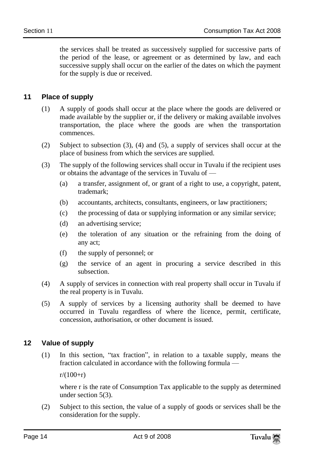the services shall be treated as successively supplied for successive parts of the period of the lease, or agreement or as determined by law, and each successive supply shall occur on the earlier of the dates on which the payment for the supply is due or received.

### <span id="page-13-0"></span>**11 Place of supply**

- (1) A supply of goods shall occur at the place where the goods are delivered or made available by the supplier or, if the delivery or making available involves transportation, the place where the goods are when the transportation commences.
- (2) Subject to subsection (3), (4) and (5), a supply of services shall occur at the place of business from which the services are supplied.
- (3) The supply of the following services shall occur in Tuvalu if the recipient uses or obtains the advantage of the services in Tuvalu of —
	- (a) a transfer, assignment of, or grant of a right to use, a copyright, patent, trademark;
	- (b) accountants, architects, consultants, engineers, or law practitioners;
	- (c) the processing of data or supplying information or any similar service;
	- (d) an advertising service;
	- (e) the toleration of any situation or the refraining from the doing of any act;
	- (f) the supply of personnel; or
	- (g) the service of an agent in procuring a service described in this subsection.
- (4) A supply of services in connection with real property shall occur in Tuvalu if the real property is in Tuvalu.
- (5) A supply of services by a licensing authority shall be deemed to have occurred in Tuvalu regardless of where the licence, permit, certificate, concession, authorisation, or other document is issued.

#### <span id="page-13-1"></span>**12 Value of supply**

 $(1)$  In this section, "tax fraction", in relation to a taxable supply, means the fraction calculated in accordance with the following formula —

 $r/(100+r)$ 

where r is the rate of Consumption Tax applicable to the supply as determined under section 5(3).

(2) Subject to this section, the value of a supply of goods or services shall be the consideration for the supply.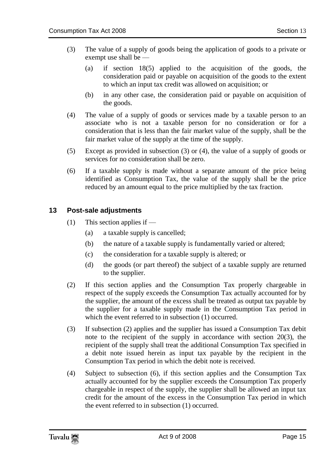- (3) The value of a supply of goods being the application of goods to a private or exempt use shall be —
	- (a) if section 18(5) applied to the acquisition of the goods, the consideration paid or payable on acquisition of the goods to the extent to which an input tax credit was allowed on acquisition; or
	- (b) in any other case, the consideration paid or payable on acquisition of the goods.
- (4) The value of a supply of goods or services made by a taxable person to an associate who is not a taxable person for no consideration or for a consideration that is less than the fair market value of the supply, shall be the fair market value of the supply at the time of the supply.
- (5) Except as provided in subsection (3) or (4), the value of a supply of goods or services for no consideration shall be zero.
- (6) If a taxable supply is made without a separate amount of the price being identified as Consumption Tax, the value of the supply shall be the price reduced by an amount equal to the price multiplied by the tax fraction.

#### <span id="page-14-0"></span>**13 Post-sale adjustments**

- (1) This section applies if
	- (a) a taxable supply is cancelled;
	- (b) the nature of a taxable supply is fundamentally varied or altered;
	- (c) the consideration for a taxable supply is altered; or
	- (d) the goods (or part thereof) the subject of a taxable supply are returned to the supplier.
- (2) If this section applies and the Consumption Tax properly chargeable in respect of the supply exceeds the Consumption Tax actually accounted for by the supplier, the amount of the excess shall be treated as output tax payable by the supplier for a taxable supply made in the Consumption Tax period in which the event referred to in subsection (1) occurred.
- (3) If subsection (2) applies and the supplier has issued a Consumption Tax debit note to the recipient of the supply in accordance with section 20(3), the recipient of the supply shall treat the additional Consumption Tax specified in a debit note issued herein as input tax payable by the recipient in the Consumption Tax period in which the debit note is received.
- (4) Subject to subsection (6), if this section applies and the Consumption Tax actually accounted for by the supplier exceeds the Consumption Tax properly chargeable in respect of the supply, the supplier shall be allowed an input tax credit for the amount of the excess in the Consumption Tax period in which the event referred to in subsection (1) occurred.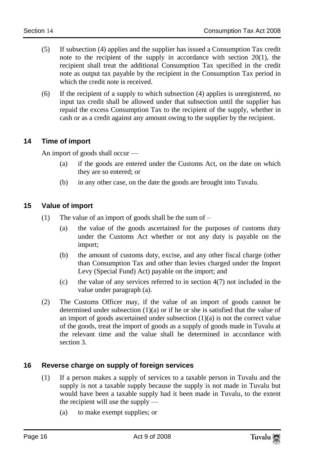- (5) If subsection (4) applies and the supplier has issued a Consumption Tax credit note to the recipient of the supply in accordance with section 20(1), the recipient shall treat the additional Consumption Tax specified in the credit note as output tax payable by the recipient in the Consumption Tax period in which the credit note is received.
- (6) If the recipient of a supply to which subsection (4) applies is unregistered, no input tax credit shall be allowed under that subsection until the supplier has repaid the excess Consumption Tax to the recipient of the supply, whether in cash or as a credit against any amount owing to the supplier by the recipient.

#### <span id="page-15-0"></span>**14 Time of import**

An import of goods shall occur —

- (a) if the goods are entered under the Customs Act, on the date on which they are so entered; or
- (b) in any other case, on the date the goods are brought into Tuvalu.

#### <span id="page-15-1"></span>**15 Value of import**

- (1) The value of an import of goods shall be the sum of  $-$ 
	- (a) the value of the goods ascertained for the purposes of customs duty under the Customs Act whether or not any duty is payable on the import;
	- (b) the amount of customs duty, excise, and any other fiscal charge (other than Consumption Tax and other than levies charged under the Import Levy (Special Fund) Act) payable on the import; and
	- (c) the value of any services referred to in section 4(7) not included in the value under paragraph (a).
- (2) The Customs Officer may, if the value of an import of goods cannot be determined under subsection  $(1)(a)$  or if he or she is satisfied that the value of an import of goods ascertained under subsection  $(1)(a)$  is not the correct value of the goods, treat the import of goods as a supply of goods made in Tuvalu at the relevant time and the value shall be determined in accordance with section 3.

#### <span id="page-15-2"></span>**16 Reverse charge on supply of foreign services**

- (1) If a person makes a supply of services to a taxable person in Tuvalu and the supply is not a taxable supply because the supply is not made in Tuvalu but would have been a taxable supply had it been made in Tuvalu, to the extent the recipient will use the supply —
	- (a) to make exempt supplies; or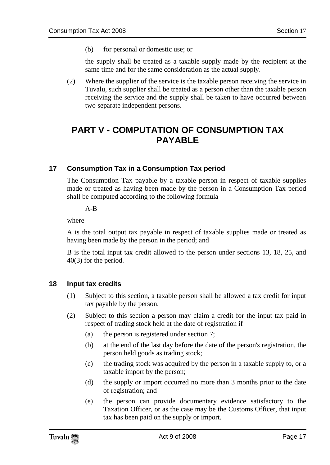(b) for personal or domestic use; or

the supply shall be treated as a taxable supply made by the recipient at the same time and for the same consideration as the actual supply.

(2) Where the supplier of the service is the taxable person receiving the service in Tuvalu, such supplier shall be treated as a person other than the taxable person receiving the service and the supply shall be taken to have occurred between two separate independent persons.

### <span id="page-16-0"></span>**PART V - COMPUTATION OF CONSUMPTION TAX PAYABLE**

#### <span id="page-16-1"></span>**17 Consumption Tax in a Consumption Tax period**

The Consumption Tax payable by a taxable person in respect of taxable supplies made or treated as having been made by the person in a Consumption Tax period shall be computed according to the following formula —

A-B

where —

A is the total output tax payable in respect of taxable supplies made or treated as having been made by the person in the period; and

B is the total input tax credit allowed to the person under sections 13, 18, 25, and 40(3) for the period.

#### <span id="page-16-2"></span>**18 Input tax credits**

- (1) Subject to this section, a taxable person shall be allowed a tax credit for input tax payable by the person.
- (2) Subject to this section a person may claim a credit for the input tax paid in respect of trading stock held at the date of registration if —
	- (a) the person is registered under section 7;
	- (b) at the end of the last day before the date of the person's registration, the person held goods as trading stock;
	- (c) the trading stock was acquired by the person in a taxable supply to, or a taxable import by the person;
	- (d) the supply or import occurred no more than 3 months prior to the date of registration; and
	- (e) the person can provide documentary evidence satisfactory to the Taxation Officer, or as the case may be the Customs Officer, that input tax has been paid on the supply or import.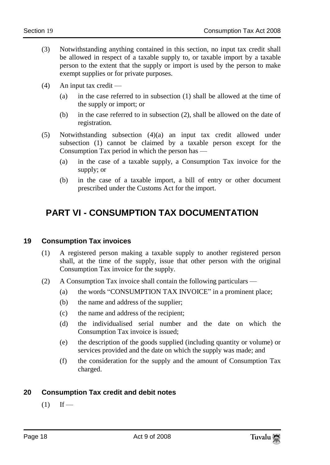- (3) Notwithstanding anything contained in this section, no input tax credit shall be allowed in respect of a taxable supply to, or taxable import by a taxable person to the extent that the supply or import is used by the person to make exempt supplies or for private purposes.
- (4) An input tax credit
	- (a) in the case referred to in subsection (1) shall be allowed at the time of the supply or import; or
	- (b) in the case referred to in subsection (2), shall be allowed on the date of registration.
- (5) Notwithstanding subsection (4)(a) an input tax credit allowed under subsection (1) cannot be claimed by a taxable person except for the Consumption Tax period in which the person has —
	- (a) in the case of a taxable supply, a Consumption Tax invoice for the supply; or
	- (b) in the case of a taxable import, a bill of entry or other document prescribed under the Customs Act for the import.

# <span id="page-17-0"></span>**PART VI - CONSUMPTION TAX DOCUMENTATION**

#### <span id="page-17-1"></span>**19 Consumption Tax invoices**

- (1) A registered person making a taxable supply to another registered person shall, at the time of the supply, issue that other person with the original Consumption Tax invoice for the supply.
- (2) A Consumption Tax invoice shall contain the following particulars
	- (a) the words "CONSUMPTION TAX INVOICE" in a prominent place;
	- (b) the name and address of the supplier;
	- (c) the name and address of the recipient;
	- (d) the individualised serial number and the date on which the Consumption Tax invoice is issued;
	- (e) the description of the goods supplied (including quantity or volume) or services provided and the date on which the supply was made; and
	- (f) the consideration for the supply and the amount of Consumption Tax charged.

### <span id="page-17-2"></span>**20 Consumption Tax credit and debit notes**

 $(1)$  If —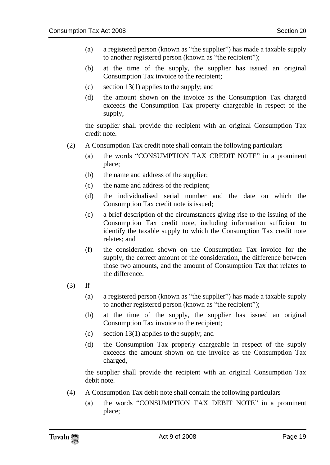- (a) a registered person (known as "the supplier") has made a taxable supply to another registered person (known as "the recipient");
- (b) at the time of the supply, the supplier has issued an original Consumption Tax invoice to the recipient;
- (c) section 13(1) applies to the supply; and
- (d) the amount shown on the invoice as the Consumption Tax charged exceeds the Consumption Tax property chargeable in respect of the supply,

the supplier shall provide the recipient with an original Consumption Tax credit note.

- (2) A Consumption Tax credit note shall contain the following particulars
	- (a) the words "CONSUMPTION TAX CREDIT NOTE" in a prominent place;
	- (b) the name and address of the supplier;
	- (c) the name and address of the recipient;
	- (d) the individualised serial number and the date on which the Consumption Tax credit note is issued;
	- (e) a brief description of the circumstances giving rise to the issuing of the Consumption Tax credit note, including information sufficient to identify the taxable supply to which the Consumption Tax credit note relates; and
	- (f) the consideration shown on the Consumption Tax invoice for the supply, the correct amount of the consideration, the difference between those two amounts, and the amount of Consumption Tax that relates to the difference.
- $(3)$  If
	- (a) a registered person (known as "the supplier") has made a taxable supply to another registered person (known as "the recipient");
	- (b) at the time of the supply, the supplier has issued an original Consumption Tax invoice to the recipient;
	- (c) section 13(1) applies to the supply; and
	- (d) the Consumption Tax properly chargeable in respect of the supply exceeds the amount shown on the invoice as the Consumption Tax charged,

the supplier shall provide the recipient with an original Consumption Tax debit note.

- (4) A Consumption Tax debit note shall contain the following particulars
	- (a) the words "CONSUMPTION TAX DEBIT NOTE" in a prominent place;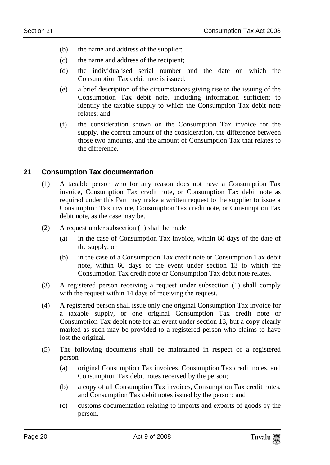- (b) the name and address of the supplier;
- (c) the name and address of the recipient;
- (d) the individualised serial number and the date on which the Consumption Tax debit note is issued;
- (e) a brief description of the circumstances giving rise to the issuing of the Consumption Tax debit note, including information sufficient to identify the taxable supply to which the Consumption Tax debit note relates; and
- (f) the consideration shown on the Consumption Tax invoice for the supply, the correct amount of the consideration, the difference between those two amounts, and the amount of Consumption Tax that relates to the difference.

#### <span id="page-19-0"></span>**21 Consumption Tax documentation**

- (1) A taxable person who for any reason does not have a Consumption Tax invoice, Consumption Tax credit note, or Consumption Tax debit note as required under this Part may make a written request to the supplier to issue a Consumption Tax invoice, Consumption Tax credit note, or Consumption Tax debit note, as the case may be.
- (2) A request under subsection (1) shall be made
	- (a) in the case of Consumption Tax invoice, within 60 days of the date of the supply; or
	- (b) in the case of a Consumption Tax credit note or Consumption Tax debit note, within 60 days of the event under section 13 to which the Consumption Tax credit note or Consumption Tax debit note relates.
- (3) A registered person receiving a request under subsection (1) shall comply with the request within 14 days of receiving the request.
- (4) A registered person shall issue only one original Consumption Tax invoice for a taxable supply, or one original Consumption Tax credit note or Consumption Tax debit note for an event under section 13, but a copy clearly marked as such may be provided to a registered person who claims to have lost the original.
- (5) The following documents shall be maintained in respect of a registered person —
	- (a) original Consumption Tax invoices, Consumption Tax credit notes, and Consumption Tax debit notes received by the person;
	- (b) a copy of all Consumption Tax invoices, Consumption Tax credit notes, and Consumption Tax debit notes issued by the person; and
	- (c) customs documentation relating to imports and exports of goods by the person.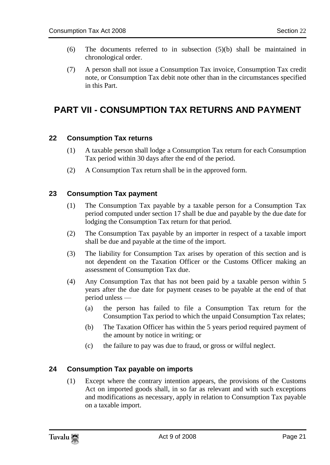- (6) The documents referred to in subsection (5)(b) shall be maintained in chronological order.
- (7) A person shall not issue a Consumption Tax invoice, Consumption Tax credit note, or Consumption Tax debit note other than in the circumstances specified in this Part.

### <span id="page-20-0"></span>**PART VII - CONSUMPTION TAX RETURNS AND PAYMENT**

#### <span id="page-20-1"></span>**22 Consumption Tax returns**

- (1) A taxable person shall lodge a Consumption Tax return for each Consumption Tax period within 30 days after the end of the period.
- (2) A Consumption Tax return shall be in the approved form.

#### <span id="page-20-2"></span>**23 Consumption Tax payment**

- (1) The Consumption Tax payable by a taxable person for a Consumption Tax period computed under section 17 shall be due and payable by the due date for lodging the Consumption Tax return for that period.
- (2) The Consumption Tax payable by an importer in respect of a taxable import shall be due and payable at the time of the import.
- (3) The liability for Consumption Tax arises by operation of this section and is not dependent on the Taxation Officer or the Customs Officer making an assessment of Consumption Tax due.
- (4) Any Consumption Tax that has not been paid by a taxable person within 5 years after the due date for payment ceases to be payable at the end of that period unless —
	- (a) the person has failed to file a Consumption Tax return for the Consumption Tax period to which the unpaid Consumption Tax relates;
	- (b) The Taxation Officer has within the 5 years period required payment of the amount by notice in writing; or
	- (c) the failure to pay was due to fraud, or gross or wilful neglect.

#### <span id="page-20-3"></span>**24 Consumption Tax payable on imports**

(1) Except where the contrary intention appears, the provisions of the Customs Act on imported goods shall, in so far as relevant and with such exceptions and modifications as necessary, apply in relation to Consumption Tax payable on a taxable import.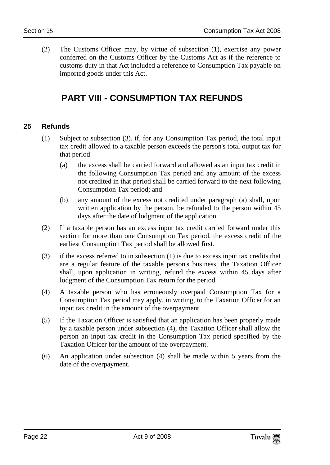<span id="page-21-0"></span>(2) The Customs Officer may, by virtue of subsection (1), exercise any power conferred on the Customs Officer by the Customs Act as if the reference to customs duty in that Act included a reference to Consumption Tax payable on imported goods under this Act.

# **PART VIII - CONSUMPTION TAX REFUNDS**

#### <span id="page-21-1"></span>**25 Refunds**

- (1) Subject to subsection (3), if, for any Consumption Tax period, the total input tax credit allowed to a taxable person exceeds the person's total output tax for that period —
	- (a) the excess shall be carried forward and allowed as an input tax credit in the following Consumption Tax period and any amount of the excess not credited in that period shall be carried forward to the next following Consumption Tax period; and
	- (b) any amount of the excess not credited under paragraph (a) shall, upon written application by the person, be refunded to the person within 45 days after the date of lodgment of the application.
- (2) If a taxable person has an excess input tax credit carried forward under this section for more than one Consumption Tax period, the excess credit of the earliest Consumption Tax period shall be allowed first.
- (3) if the excess referred to in subsection (1) is due to excess input tax credits that are a regular feature of the taxable person's business, the Taxation Officer shall, upon application in writing, refund the excess within 45 days after lodgment of the Consumption Tax return for the period.
- (4) A taxable person who has erroneously overpaid Consumption Tax for a Consumption Tax period may apply, in writing, to the Taxation Officer for an input tax credit in the amount of the overpayment.
- (5) If the Taxation Officer is satisfied that an application has been properly made by a taxable person under subsection (4), the Taxation Officer shall allow the person an input tax credit in the Consumption Tax period specified by the Taxation Officer for the amount of the overpayment.
- (6) An application under subsection (4) shall be made within 5 years from the date of the overpayment.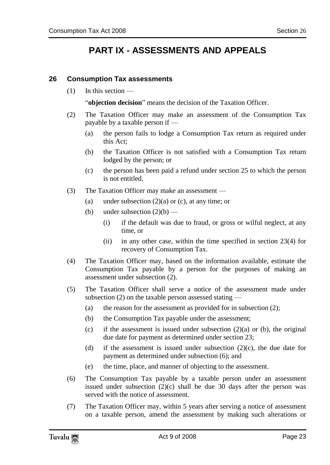# **PART IX - ASSESSMENTS AND APPEALS**

#### <span id="page-22-1"></span><span id="page-22-0"></span>**26 Consumption Tax assessments**

 $(1)$  In this section —

"**objection decision**" means the decision of the Taxation Officer.

- (2) The Taxation Officer may make an assessment of the Consumption Tax payable by a taxable person if —
	- (a) the person fails to lodge a Consumption Tax return as required under this Act;
	- (b) the Taxation Officer is not satisfied with a Consumption Tax return lodged by the person; or
	- (c) the person has been paid a refund under section 25 to which the person is not entitled.
- (3) The Taxation Officer may make an assessment
	- (a) under subsection  $(2)(a)$  or (c), at any time; or
	- (b) under subsection  $(2)(b)$ 
		- (i) if the default was due to fraud, or gross or wilful neglect, at any time, or
		- (ii) in any other case, within the time specified in section 23(4) for recovery of Consumption Tax.
- (4) The Taxation Officer may, based on the information available, estimate the Consumption Tax payable by a person for the purposes of making an assessment under subsection (2).
- (5) The Taxation Officer shall serve a notice of the assessment made under subsection (2) on the taxable person assessed stating —
	- (a) the reason for the assessment as provided for in subsection (2);
	- (b) the Consumption Tax payable under the assessment;
	- (c) if the assessment is issued under subsection  $(2)(a)$  or (b), the original due date for payment as determined under section 23;
	- (d) if the assessment is issued under subsection  $(2)(c)$ , the due date for payment as determined under subsection (6); and
	- (e) the time, place, and manner of objecting to the assessment.
- (6) The Consumption Tax payable by a taxable person under an assessment issued under subsection (2)(c) shall be due 30 days after the person was served with the notice of assessment.
- (7) The Taxation Officer may, within 5 years after serving a notice of assessment on a taxable person, amend the assessment by making such alterations or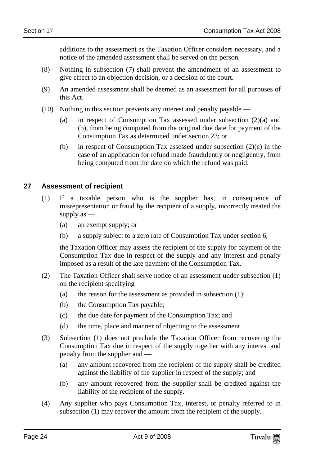additions to the assessment as the Taxation Officer considers necessary, and a notice of the amended assessment shall be served on the person.

- (8) Nothing in subsection (7) shall prevent the amendment of an assessment to give effect to an objection decision, or a decision of the court.
- (9) An amended assessment shall be deemed as an assessment for all purposes of this Act.
- (10) Nothing in this section prevents any interest and penalty payable
	- (a) in respect of Consumption Tax assessed under subsection (2)(a) and (b), from being computed from the original due date for payment of the Consumption Tax as determined under section 23; or
	- (b) in respect of Consumption Tax assessed under subsection (2)(c) in the case of an application for refund made fraudulently or negligently, from being computed from the date on which the refund was paid.

#### <span id="page-23-0"></span>**27 Assessment of recipient**

- (1) If a taxable person who is the supplier has, in consequence of misrepresentation or fraud by the recipient of a supply, incorrectly treated the supply  $as$  —
	- (a) an exempt supply; or
	- (b) a supply subject to a zero rate of Consumption Tax under section 6,

the Taxation Officer may assess the recipient of the supply for payment of the Consumption Tax due in respect of the supply and any interest and penalty imposed as a result of the late payment of the Consumption Tax.

- (2) The Taxation Officer shall serve notice of an assessment under subsection (1) on the recipient specifying —
	- (a) the reason for the assessment as provided in subsection (1);
	- (b) the Consumption Tax payable;
	- (c) the due date for payment of the Consumption Tax; and
	- (d) the time, place and manner of objecting to the assessment.
- (3) Subsection (1) does not preclude the Taxation Officer from recovering the Consumption Tax due in respect of the supply together with any interest and penalty from the supplier and —
	- (a) any amount recovered from the recipient of the supply shall be credited against the liability of the supplier in respect of the supply; and
	- (b) any amount recovered from the supplier shall be credited against the liability of the recipient of the supply.
- (4) Any supplier who pays Consumption Tax, interest, or penalty referred to in subsection (1) may recover the amount from the recipient of the supply.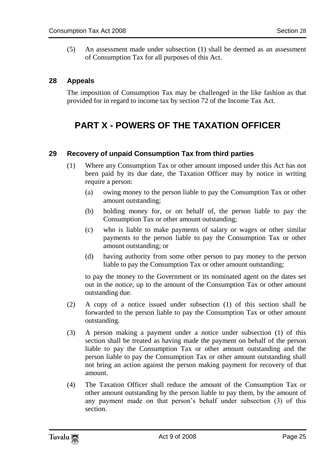(5) An assessment made under subsection (1) shall be deemed as an assessment of Consumption Tax for all purposes of this Act.

### <span id="page-24-0"></span>**28 Appeals**

<span id="page-24-1"></span>The imposition of Consumption Tax may be challenged in the like fashion as that provided for in regard to income tax by section 72 of the Income Tax Act.

# **PART X - POWERS OF THE TAXATION OFFICER**

#### <span id="page-24-2"></span>**29 Recovery of unpaid Consumption Tax from third parties**

- (1) Where any Consumption Tax or other amount imposed under this Act has not been paid by its due date, the Taxation Officer may by notice in writing require a person:
	- (a) owing money to the person liable to pay the Consumption Tax or other amount outstanding;
	- (b) holding money for, or on behalf of, the person liable to pay the Consumption Tax or other amount outstanding;
	- (c) who is liable to make payments of salary or wages or other similar payments to the person liable to pay the Consumption Tax or other amount outstanding; or
	- (d) having authority from some other person to pay money to the person liable to pay the Consumption Tax or other amount outstanding;

to pay the money to the Government or its nominated agent on the dates set out in the notice, up to the amount of the Consumption Tax or other amount outstanding due.

- (2) A copy of a notice issued under subsection (1) of this section shall be forwarded to the person liable to pay the Consumption Tax or other amount outstanding.
- (3) A person making a payment under a notice under subsection (1) of this section shall be treated as having made the payment on behalf of the person liable to pay the Consumption Tax or other amount outstanding and the person liable to pay the Consumption Tax or other amount outstanding shall not bring an action against the person making payment for recovery of that amount.
- (4) The Taxation Officer shall reduce the amount of the Consumption Tax or other amount outstanding by the person liable to pay them, by the amount of any payment made on that person's behalf under subsection (3) of this section.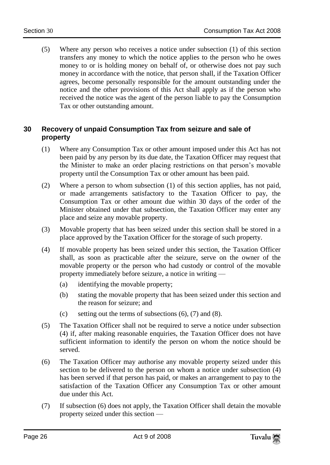(5) Where any person who receives a notice under subsection (1) of this section transfers any money to which the notice applies to the person who he owes money to or is holding money on behalf of, or otherwise does not pay such money in accordance with the notice, that person shall, if the Taxation Officer agrees, become personally responsible for the amount outstanding under the notice and the other provisions of this Act shall apply as if the person who received the notice was the agent of the person liable to pay the Consumption Tax or other outstanding amount.

### <span id="page-25-0"></span>**30 Recovery of unpaid Consumption Tax from seizure and sale of property**

- (1) Where any Consumption Tax or other amount imposed under this Act has not been paid by any person by its due date, the Taxation Officer may request that the Minister to make an order placing restrictions on that person's movable property until the Consumption Tax or other amount has been paid.
- (2) Where a person to whom subsection (1) of this section applies, has not paid, or made arrangements satisfactory to the Taxation Officer to pay, the Consumption Tax or other amount due within 30 days of the order of the Minister obtained under that subsection, the Taxation Officer may enter any place and seize any movable property.
- (3) Movable property that has been seized under this section shall be stored in a place approved by the Taxation Officer for the storage of such property.
- (4) If movable property has been seized under this section, the Taxation Officer shall, as soon as practicable after the seizure, serve on the owner of the movable property or the person who had custody or control of the movable property immediately before seizure, a notice in writing —
	- (a) identifying the movable property;
	- (b) stating the movable property that has been seized under this section and the reason for seizure; and
	- (c) setting out the terms of subsections  $(6)$ ,  $(7)$  and  $(8)$ .
- (5) The Taxation Officer shall not be required to serve a notice under subsection (4) if, after making reasonable enquiries, the Taxation Officer does not have sufficient information to identify the person on whom the notice should be served.
- (6) The Taxation Officer may authorise any movable property seized under this section to be delivered to the person on whom a notice under subsection (4) has been served if that person has paid, or makes an arrangement to pay to the satisfaction of the Taxation Officer any Consumption Tax or other amount due under this Act.
- (7) If subsection (6) does not apply, the Taxation Officer shall detain the movable property seized under this section —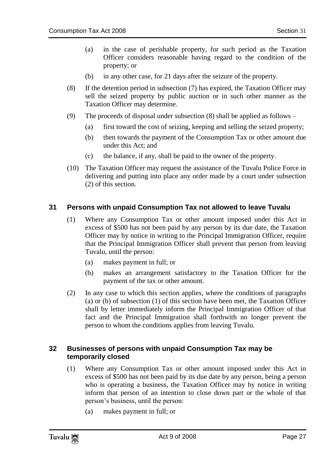- (a) in the case of perishable property, for such period as the Taxation Officer considers reasonable having regard to the condition of the property; or
- (b) in any other case, for 21 days after the seizure of the property.
- (8) If the detention period in subsection (7) has expired, the Taxation Officer may sell the seized property by public auction or in such other manner as the Taxation Officer may determine.
- (9) The proceeds of disposal under subsection (8) shall be applied as follows
	- (a) first toward the cost of seizing, keeping and selling the seized property;
	- (b) then towards the payment of the Consumption Tax or other amount due under this Act; and
	- (c) the balance, if any, shall be paid to the owner of the property.
- (10) The Taxation Officer may request the assistance of the Tuvalu Police Force in delivering and putting into place any order made by a court under subsection (2) of this section.

#### <span id="page-26-0"></span>**31 Persons with unpaid Consumption Tax not allowed to leave Tuvalu**

- (1) Where any Consumption Tax or other amount imposed under this Act in excess of \$500 has not been paid by any person by its due date, the Taxation Officer may by notice in writing to the Principal Immigration Officer, require that the Principal Immigration Officer shall prevent that person from leaving Tuvalu, until the person:
	- (a) makes payment in full; or
	- (b) makes an arrangement satisfactory to the Taxation Officer for the payment of the tax or other amount.
- (2) In any case to which this section applies, where the conditions of paragraphs (a) or (b) of subsection (1) of this section have been met, the Taxation Officer shall by letter immediately inform the Principal Immigration Officer of that fact and the Principal Immigration shall forthwith no longer prevent the person to whom the conditions applies from leaving Tuvalu.

#### <span id="page-26-1"></span>**32 Businesses of persons with unpaid Consumption Tax may be temporarily closed**

- (1) Where any Consumption Tax or other amount imposed under this Act in excess of \$500 has not been paid by its due date by any person, being a person who is operating a business, the Taxation Officer may by notice in writing inform that person of an intention to close down part or the whole of that person's business, until the person:
	- (a) makes payment in full; or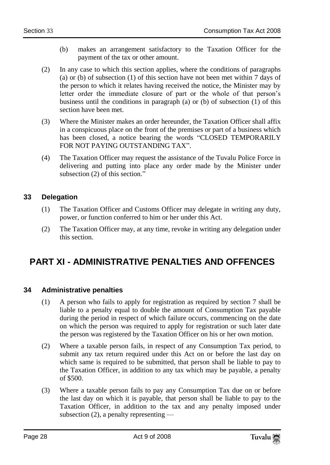- (b) makes an arrangement satisfactory to the Taxation Officer for the payment of the tax or other amount.
- (2) In any case to which this section applies, where the conditions of paragraphs (a) or (b) of subsection (1) of this section have not been met within 7 days of the person to which it relates having received the notice, the Minister may by letter order the immediate closure of part or the whole of that person's business until the conditions in paragraph (a) or (b) of subsection (1) of this section have been met.
- (3) Where the Minister makes an order hereunder, the Taxation Officer shall affix in a conspicuous place on the front of the premises or part of a business which has been closed, a notice bearing the words "CLOSED TEMPORARILY FOR NOT PAYING OUTSTANDING TAX".
- (4) The Taxation Officer may request the assistance of the Tuvalu Police Force in delivering and putting into place any order made by the Minister under subsection  $(2)$  of this section."

### <span id="page-27-0"></span>**33 Delegation**

- (1) The Taxation Officer and Customs Officer may delegate in writing any duty, power, or function conferred to him or her under this Act.
- (2) The Taxation Officer may, at any time, revoke in writing any delegation under this section.

# <span id="page-27-1"></span>**PART XI - ADMINISTRATIVE PENALTIES AND OFFENCES**

#### <span id="page-27-2"></span>**34 Administrative penalties**

- (1) A person who fails to apply for registration as required by section 7 shall be liable to a penalty equal to double the amount of Consumption Tax payable during the period in respect of which failure occurs, commencing on the date on which the person was required to apply for registration or such later date the person was registered by the Taxation Officer on his or her own motion.
- (2) Where a taxable person fails, in respect of any Consumption Tax period, to submit any tax return required under this Act on or before the last day on which same is required to be submitted, that person shall be liable to pay to the Taxation Officer, in addition to any tax which may be payable, a penalty of \$500.
- (3) Where a taxable person fails to pay any Consumption Tax due on or before the last day on which it is payable, that person shall be liable to pay to the Taxation Officer, in addition to the tax and any penalty imposed under subsection (2), a penalty representing —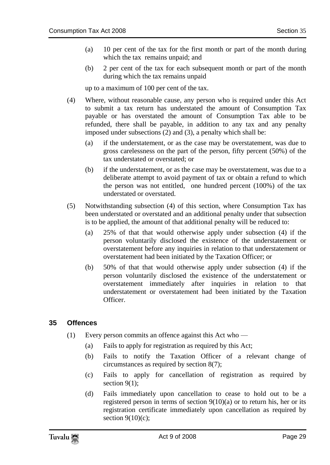- (a) 10 per cent of the tax for the first month or part of the month during which the tax remains unpaid; and
- (b) 2 per cent of the tax for each subsequent month or part of the month during which the tax remains unpaid

up to a maximum of 100 per cent of the tax.

- (4) Where, without reasonable cause, any person who is required under this Act to submit a tax return has understated the amount of Consumption Tax payable or has overstated the amount of Consumption Tax able to be refunded, there shall be payable, in addition to any tax and any penalty imposed under subsections (2) and (3), a penalty which shall be:
	- (a) if the understatement, or as the case may be overstatement, was due to gross carelessness on the part of the person, fifty percent (50%) of the tax understated or overstated; or
	- (b) if the understatement, or as the case may be overstatement, was due to a deliberate attempt to avoid payment of tax or obtain a refund to which the person was not entitled, one hundred percent (100%) of the tax understated or overstated.
- (5) Notwithstanding subsection (4) of this section, where Consumption Tax has been understated or overstated and an additional penalty under that subsection is to be applied, the amount of that additional penalty will be reduced to:
	- (a) 25% of that that would otherwise apply under subsection (4) if the person voluntarily disclosed the existence of the understatement or overstatement before any inquiries in relation to that understatement or overstatement had been initiated by the Taxation Officer; or
	- (b) 50% of that that would otherwise apply under subsection (4) if the person voluntarily disclosed the existence of the understatement or overstatement immediately after inquiries in relation to that understatement or overstatement had been initiated by the Taxation **Officer**

#### <span id="page-28-0"></span>**35 Offences**

- (1) Every person commits an offence against this Act who
	- (a) Fails to apply for registration as required by this Act;
	- (b) Fails to notify the Taxation Officer of a relevant change of circumstances as required by section 8(7);
	- (c) Fails to apply for cancellation of registration as required by section  $9(1)$ ;
	- (d) Fails immediately upon cancellation to cease to hold out to be a registered person in terms of section  $9(10)(a)$  or to return his, her or its registration certificate immediately upon cancellation as required by section  $9(10)(c)$ ;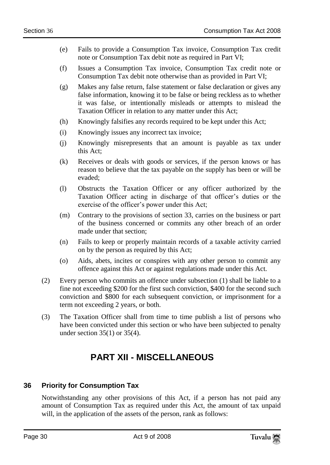- (e) Fails to provide a Consumption Tax invoice, Consumption Tax credit note or Consumption Tax debit note as required in Part VI;
- (f) Issues a Consumption Tax invoice, Consumption Tax credit note or Consumption Tax debit note otherwise than as provided in Part VI;
- (g) Makes any false return, false statement or false declaration or gives any false information, knowing it to be false or being reckless as to whether it was false, or intentionally misleads or attempts to mislead the Taxation Officer in relation to any matter under this Act;
- (h) Knowingly falsifies any records required to be kept under this Act;
- (i) Knowingly issues any incorrect tax invoice;
- (j) Knowingly misrepresents that an amount is payable as tax under this Act;
- (k) Receives or deals with goods or services, if the person knows or has reason to believe that the tax payable on the supply has been or will be evaded;
- (l) Obstructs the Taxation Officer or any officer authorized by the Taxation Officer acting in discharge of that officer's duties or the exercise of the officer's power under this Act;
- (m) Contrary to the provisions of section 33, carries on the business or part of the business concerned or commits any other breach of an order made under that section;
- (n) Fails to keep or properly maintain records of a taxable activity carried on by the person as required by this Act;
- (o) Aids, abets, incites or conspires with any other person to commit any offence against this Act or against regulations made under this Act.
- (2) Every person who commits an offence under subsection (1) shall be liable to a fine not exceeding \$200 for the first such conviction, \$400 for the second such conviction and \$800 for each subsequent conviction, or imprisonment for a term not exceeding 2 years, or both.
- <span id="page-29-0"></span>(3) The Taxation Officer shall from time to time publish a list of persons who have been convicted under this section or who have been subjected to penalty under section 35(1) or 35(4).

# **PART XII - MISCELLANEOUS**

#### <span id="page-29-1"></span>**36 Priority for Consumption Tax**

Notwithstanding any other provisions of this Act, if a person has not paid any amount of Consumption Tax as required under this Act, the amount of tax unpaid will, in the application of the assets of the person, rank as follows: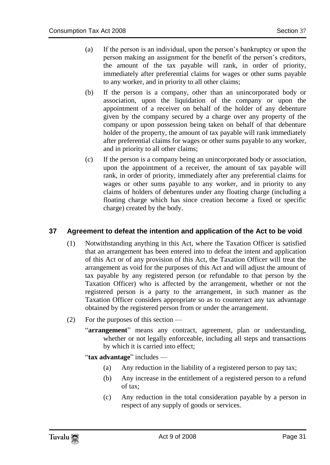- (a) If the person is an individual, upon the person's bankruptcy or upon the person making an assignment for the benefit of the person's creditors, the amount of the tax payable will rank, in order of priority, immediately after preferential claims for wages or other sums payable to any worker, and in priority to all other claims;
- (b) If the person is a company, other than an unincorporated body or association, upon the liquidation of the company or upon the appointment of a receiver on behalf of the holder of any debenture given by the company secured by a charge over any property of the company or upon possession being taken on behalf of that debenture holder of the property, the amount of tax payable will rank immediately after preferential claims for wages or other sums payable to any worker, and in priority to all other claims;
- (c) If the person is a company being an unincorporated body or association, upon the appointment of a receiver, the amount of tax payable will rank, in order of priority, immediately after any preferential claims for wages or other sums payable to any worker, and in priority to any claims of holders of debentures under any floating charge (including a floating charge which has since creation become a fixed or specific charge) created by the body.

#### <span id="page-30-0"></span>**37 Agreement to defeat the intention and application of the Act to be void**

- (1) Notwithstanding anything in this Act, where the Taxation Officer is satisfied that an arrangement has been entered into to defeat the intent and application of this Act or of any provision of this Act, the Taxation Officer will treat the arrangement as void for the purposes of this Act and will adjust the amount of tax payable by any registered person (or refundable to that person by the Taxation Officer) who is affected by the arrangement, whether or not the registered person is a party to the arrangement, in such manner as the Taxation Officer considers appropriate so as to counteract any tax advantage obtained by the registered person from or under the arrangement.
- (2) For the purposes of this section
	- "arrangement" means any contract, agreement, plan or understanding, whether or not legally enforceable, including all steps and transactions by which it is carried into effect;

"tax advantage" includes —

- (a) Any reduction in the liability of a registered person to pay tax;
- (b) Any increase in the entitlement of a registered person to a refund of tax;
- (c) Any reduction in the total consideration payable by a person in respect of any supply of goods or services.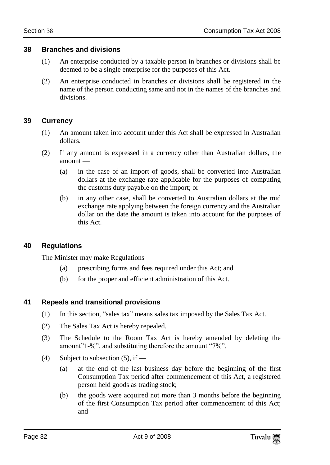#### <span id="page-31-0"></span>**38 Branches and divisions**

- (1) An enterprise conducted by a taxable person in branches or divisions shall be deemed to be a single enterprise for the purposes of this Act.
- (2) An enterprise conducted in branches or divisions shall be registered in the name of the person conducting same and not in the names of the branches and divisions.

#### <span id="page-31-1"></span>**39 Currency**

- (1) An amount taken into account under this Act shall be expressed in Australian dollars.
- (2) If any amount is expressed in a currency other than Australian dollars, the amount —
	- (a) in the case of an import of goods, shall be converted into Australian dollars at the exchange rate applicable for the purposes of computing the customs duty payable on the import; or
	- (b) in any other case, shall be converted to Australian dollars at the mid exchange rate applying between the foreign currency and the Australian dollar on the date the amount is taken into account for the purposes of this Act.

#### <span id="page-31-2"></span>**40 Regulations**

The Minister may make Regulations —

- (a) prescribing forms and fees required under this Act; and
- (b) for the proper and efficient administration of this Act.

#### <span id="page-31-3"></span>**41 Repeals and transitional provisions**

- (1) In this section, "sales tax" means sales tax imposed by the Sales Tax Act.
- (2) The Sales Tax Act is hereby repealed.
- (3) The Schedule to the Room Tax Act is hereby amended by deleting the amount" $1-\frac{6}{9}$ , and substituting therefore the amount " $7\%$ ".
- (4) Subject to subsection  $(5)$ , if
	- (a) at the end of the last business day before the beginning of the first Consumption Tax period after commencement of this Act, a registered person held goods as trading stock;
	- (b) the goods were acquired not more than 3 months before the beginning of the first Consumption Tax period after commencement of this Act; and